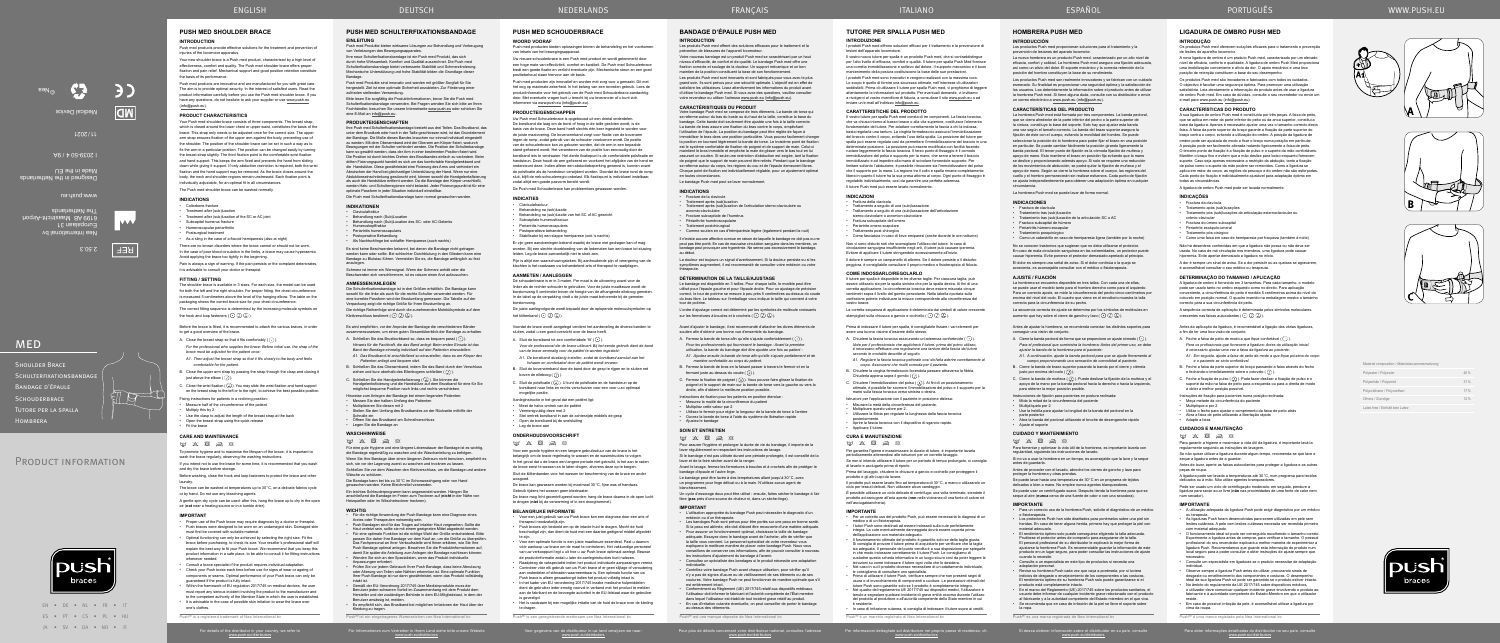EN • DE • NL • FR • IT ES • PT • CS • PL • HU JA • SV • DA • NO • FI

PRODUCT INFORMATION

**MED** 

Voor gegevens van de distributeur in uw land verwijzen we naar: www.push.eu/distributors

## **BANDAGE D'ÉPAULE PUSH MED**

### **INTRODUCTION**

Les produits Push med sont innovants et sont fabriqués pour vous avec le plu grand soin. Ils sont prévus pour une sécurité optimale. L'objectif est en effet d satisfaire les utilisateurs. Lisez attentivement les informations du produit avant d'utiliser le bandage Push med. Si vous avez des questions, veuillez consulter votre revendeur ou utiliser l'adresse www.push.eu (info@push.eu).

### Les produits Push med offrent des solutions efficaces pour le traitement et la prévention de blessures de l'appareil locomoteur.

Votre nouveau bandage est un produit Push med se caractérisant par un haut niveau d'efficacité, de confort et de qualité. Le bandage Push med offre une fixation correcte et soulage de la douleur. Un support mécanique et un bon maintien de la position constituent la base de son fonctionnement.

## **CARACTÉRISTIQUES DU PRODUIT**

L'ordre d'ajustage correct est déterminé par les symboles de molécule croissants sur les fermetures à boucles et à crochets  $(\bigodot \bigodot \bigodot)$ .

Votre bandage Push med se compose de trois éléments. La bande de torse qui se referme autour du bas du buste ou du haut de la taille, constitue la base du bandage. Cette bande doit seulement être ajustée une fois à la taille correcte. La bande de bras assure une fixation du bras contre le corps, empêchant l'utilisation de l'épaule. La position du bandage peut être réglée de façon à<br>immobiliser le bras dans une position particulière. Vous pouvez facilement changer<br>la position en tournant légèrement la bande de torse. Le troi est le système confortable de fixation de poignet et de support de main. Celui-ci<br>maintient le bras immobile et empêche la main de glisser vers le bas tout en lui<br>assurant un soutien. Si seule une restriction d'abduction e se referme autour du corps, les régions du cou et de l'épaule demeurent libres. Chaque point de fixation est individuellement réglable, pour un ajustement optimal en toutes circonstances.

- A. Fermez la bande de torse afin qu'elle s'ajuste confortablement  $(\overline{\cdot})$ ).
- *Pour les professionnels qui fournissent le bandage : Avant la première utilisation, la bande du bandage doit être ajustée une fois au patient :*
- *A1. Ajustez ensuite la bande de torse afin qu'elle s'ajuste parfaitement et de manière confortable au corps du patient.*
- B. Fermez la bande de bras en la faisant passer à travers le fermoir et en la<br>fermant juste au-dessus du coude (  $\overline{(\mathcal{D})}$  ).
- C. Fermez la fixation de poignet (الح). Vous pouvez faire glisser la fixation de<br>poignet et le support de main sur la bande de torse vers la gauche ou vers la<br>droite, afin d'obtenir la meilleure position possible.
- Instructions de fixation pour les patients en position étendue
- Mesurez la moitié de la circonférence du patient
- Multipliez cette valeur par 2
- Utilisez le fermoir pour régler la longueur de la bande de torse à l'arrière • Ouvrez la bande de torse à l'aide du système de libération rapide • Ajustez le bandage

- Avant le lavage, fermez les fermetures à boucles et à crochets afin de protéger le
- bandage d'épaule et l'autre linge. Le bandage peut être lavée à des températures allant jusqu'à 30°C, avec
- un programme pour linge délicat ou à la main. N'utilisez aucun agent de panone p<br>ssement
- Un cycle d'essorage doux peut être utilisé : ensuite, faites sécher le bandage à l'air libre (**pas** près d'une source de chaleur ni, dans un sèche‑linge).
- 
- 
- **IMPORTANT**<br>
Cutilisation appropriée du bandage Push peut nécessiter le diagnostic d'un<br>
critisation and un thérapeute.<br>
Les bandages Push sont prévus pour être portés sur une peau en bonne santé.<br>
Si la peau est ablimée,
- la taille vous convient. Le personnel spécialisé de votre revendeur vous<br>expliquera la meilleure manière de placer votre bandage Push. Nous vous<br>conseillons de conserver ces informations, afin de pouvoir consulter à nouvea les instructions d'ajustement du bandage à l'avenir. • Consultez un spécialiste des bandages si le produit nécessite une adaptation
- individuelle. Contrôlez votre bandage Push avant chaque utilisation, pour vérifier qu'il n'y a pas de signes d'usure ou de vieillissement de ses éléments ou de ses coutures. Votre bandage Push ne peut fonctionner de manière optimale que s'il
- est entièrement intact. Conformément au Règlement (UE) 2017/745 relatif aux dispositifs médicaux, l'utilisateur doit informer le fabricant et l'autorité compétente de l'État membre dans lequel l'utilisateur est établi de tout incident grave relatif au produit. • En cas d'irritation cutanée éventuelle, on peut conseiller de porter le bandage au-dessus des vêtements.
- Push<sup>®</sup> est une marque déposée de Nea

Le bandage Push med peut se laver normalement.

### **INDICATIONS**

### • Fracture de la clavicule • Traitement après (sub)luxation • Traitement après (sub)luxation de l'articulation sterno-claviculaire ou

acromio‑claviculaire • Fracture subcapitale de l'humérus

• Périarthrite huméroscapulaire • Traitement postchirurgical

• Comme soutien en cas d'hémiparésie légère (également pendant la nuit)

Il n'existe aucune affection connue en raison de laquelle le bandage ne doit pas ou ne peut pas être porté. En cas de mauvaise circulation sanguine dans les membres, un bandage peut provoquer une hyperémie. Ne serrez pas excessivement le bandage, au début.

La douleur est toujours un signal d'avertissement. Si la douleur persiste ou si les symptômes augmentent, il est recommandé de consulter votre médecin ou votre thérapeute.

### **DÉTERMINATION DE LA TAILLE/AJUSTAGE**

Le bandage est disponible en 3 tailles. Pour chaque taille, le modèle peut être utilisé pour l'épaule gauche et pour l'épaule droite. Pour un ajustage de précision correct, le tour de poitrine se mesure à peu près 5 centimètres au‑dessus du coude du bras libre. Le tableau sur l'emballage vous indique la taille qui convient à votre tour de poitrine.

Avant d'ajuster le bandage, il est recommandé d'attacher les divers éléments de soutien afin d'obtenir une bonne vue d'ensemble du bandage.

- A. Schließen Sie das Brustkorbband so, dass es bequem passt  $(\overline{\cdot})$ . *Hinweis für die Fachkraft, die das Band anlegt: Beim ersten Einsatz ist das Band der Bandage einmalig individuell auf den Patienten einzustellen: A1. Das Brustband ist anschließend so einzustellen, dass es am Körper des Patienten anliegt und bequem sitzt.*
- B. Schließen Sie das Oberarmband, indem Sie das Band durch den Verschluss ziehen und kurz oberhalb des Ellenbogens schließen  $(\overline{\mathcal{Q}})$ .
- C. Schließen Sie die Handgelenksfixierung ( U. J). Sie können die<br>Handgelenksfixierung und die Handstütze auf dem Brustband für eine für Sie möglichst bequeme Position nach links und rechts verschieben.
- Hinweise zum Anlegen der Bandage bei einem liegenden Patienten:
- Messen Sie den halben Umfang des Patienten • Multiplizieren Sie diesen mit 2
- Stellen Sie den Umfang des Brustbandes an der Rückseite mithilfe der
- Schnalle ein Öffnen Sie das Brustband am Schnellverschluss
- Legen Sie die Bandage an

- Für die richtige Anwendung der Push Bandage kann eine Diagnose eines Arztes oder Therapeuten notwendig sein. • Push Bandagen sind für das Tragen auf intakter Haut vorgesehen. Sollte die Haut verletzt sein, sollte sie mit einem geeigneten Mittel abgedeckt werden.
- Für eine optimale Funktion ist die richtige Wahl der Größe entscheidend. Bitte assen Sie daher Ihre Bandage vor dem Kauf an, um die Größe zu überprüfe
- Das Fachpersonal an Ihrer Verkaufsstelle wird Ihnen erklären, wie Sie Ihre<br>Push Bandage optimal anlegen. Bewahren Sie die Produktinformationen auf,<br>damit Sie später die Anleitung zum Anlegen der Bandage nachlesen können. • Wenden Sie sich an den Spezialisten, wenn das Produkt individuelle Anpassungen erfordert.
- Prüfen Sie vor jedem Gebrauch Ihrer Push Bandage, dass keine Abnutzung oder Alterung von Teilen oder Nähten erkennbar ist. Eine optimale Funktion Ihrer Push Bandage ist nur dann gewährleistet, wenn das Produkt vollständig intakt ist.
- Gemäß der EU-Verordnung 2017/745 über Medizinprodukte muss der Benutzer jeden schweren Vorfall im Zusammenhang mit dem Produkt dem<br>Hersteller und der zuständigen Behörde in dem EU-Mitgliedstaat, in dem der<br>Benutzer ansässig ist, melden.
- Es empfiehlt sich, das Brustband bei möglichen Irritationen der Haut über der Kleidung zu tragen.
- $P_{\text{ueh}}$ ® ist ein einger

Für Informationen zum Vertreiber in Ihrem Land siehe bitte unsere Website<br>www.push.eu/distributors

## **SOIN ET ENTRETIEN**

## $\mathbb{F} \times \mathbb{R} \geqslant \mathbb{R}$

Pour assurer l'hygiène et prolonger la durée de vie du bandage, il importe de la laver régulièrement en respectant les instructions de lavage.

Si le bandage n'est pas utilisée durant une période prolongée, il est conseillé de la laver et de la faire sécher avant de la ranger.

Schmerz ist immer ein Warnsignal. Wenn der Schmerz anhält oder die Beschwerden sich verschlimmern, ist es ratsam einen Arzt aufzu

Die Schulterfixationsbandage ist in drei Größen erhältlich. Die Bandage kann sowohl für die linke als auch für die rechte Schulter verwendet werden. Für eine korrekte Passform wird der Brustumfang gemessen. Die Tabelle auf der Verpackung zeigt die richtige Größe für Ihren Brustumfang an. Die richtige Reihenfolge wird durch die zunehmenden Molekülsymbole auf dem Klettverschluss bestimmt  $(\cdot)$  ( $\overline{)}$  ( $\overline{\lambda}$ ).

La hombrera Push med está formada por tres componentes. La banda pectoral, que se cierra alrededor de la parte inferior del pecho o la parte superior de la cintura, constituye la base del soporte. Solo hay que ajustar esta banda una vez según el tamaño correcto. La banda del brazo superior asegura la fijación de éste con el cuerpo, evitando la movilidad del hombro. Se puede seleccionar la posición de la hombrera para poder fijar el brazo en una posición en particular. Se puede cambiar fácilmente la posición girando ligeramente la banda pectoral. El tercer punto de fijación es la cómoda fijación de muñeca y apoyo de mano. Esto mantiene el brazo en posición fija evitando que la mano se deslice y proporcionando además apoyo. Si solo se requiere una reducció de los movimientos de abducción, se podrá quitar la fijación de muñeca y el apoyo de mano. Según se cierre la hombrera sobre el cuerpo, las regiones del cuello y el hombro permanecerán sin realizar esfuerzos. Cada punto de fijación se ajusta independientemente para obtener una adaptación óptima en cualquier

porcionan soluciones para el tratamiento y la

Es wird empfohlen, vor der Anprobe der Bandage die verschiedenen Bänder zusammenzusetzen, um einen guten Gesamtüberblick der Bandage zu erhalten.

## **WASCHHINWEISE**

 $m \times R \geqslant R$ 

Für eine gute Hygiene und eine längere Lebensdauer der Bandage ist es wichtig, die Bandage regelmäßig zu waschen und die Waschanleitung zu befolgen. Wenn Sie Ihre Bandage über einen längeren Zeitraum nicht benutzen, empfiehlt es sich, sie vor der Lagerung zuerst zu waschen und trocknen zu lassen. Schließen Sie vor dem Waschen den Klettverschluss, um die Bandage und andere

. Cierre la banda de muñeca  $(\overline{\lambda})$ . Puede deslizar la fijación de la muñeca y e apoyo de la mano por la banda pectoral hacia la derecha o hacia la izquierda,

Wäsche zu schützen.

Die Bandage kann bei bis zu 30°C im Schonwaschgang oder von Hand gewaschen werden. Keine Bleichmittel verwenden.

Ein leichtes Schleuderprogramm kann angewendet werden. Hängen Sie<br>anschließend die Bandage im Freien zum Trocknen auf (**nicht** in der Nähe von<br>Heizquellen oder im Wäschetrockner trocknen).

**CUIDADO Y MANTENIMIENTO**  $\boxtimes \hspace{0.1cm} \boxtimes \hspace{0.1cm} \boxtimes \hspace{0.1cm} \boxtimes \hspace{0.1cm} \boxtimes \hspace{0.1cm} \boxtimes \hspace{0.1cm} \boxtimes$ 

Se puede lavar hasta una temperatura de 30°C en un programa de tejidos delicados o bien a mano. No emplee nunca agentes blanque

### **WICHTIG**

• Revise su hombrera Push cada vez que vaya a ponérsela, por si tuviera indicios de desgaste o envejecimiento de los componentes o las costuras. El rendimiento óptimo de su hombrera Push solo puede garantizarse si el producto está completamente intacto. • En el marco del Reglamento (UE) 2017/745 sobre los productos sanitarios, el usuario debe informar de cualquier incidente grave relacionado con el producto<br>al fabricante y a la autoridad competente del Estado miembro en el que viva.<br>• Se recomienda que en caso de irritación de la piel se lleve el

la ropa.  $P_{\text{ue}}$ h $R_{\text{ee}}$  una marca registrada de Nea International branch de Nea International branch de Nea International branch de Nea International branch de Nea International branch de Nea International branch de Nea Inter

## **PUSH MED SCHULTERFIXATIONSBANDAGE EINLEITUNG**

Push med Produkte bieten wirksame Lösungen zur Behandlung und Vorbeugung von Verletzungen des Bewegungsapparates.

Ihre neue Schulterfixationsbandage ist ein Push med Produkt, das sich durch hohe Wirksamkeit, Komfort und Qualität auszeichnet. Die Push med Schulterfixationsbandage bietet verbesserte Stabilität und Schmerzlinderung. Mechanische Unterstützung und hohe Stabilität bilden die Grundlage dieser Bandage.

### **INDICATIONS** Collarbone fracture

Push med Produkte sind innovativ und werden mit größter Sorgfalt für Sie hergestellt. Ziel ist eine optimale Sicherheit anzubieten. Zur Förderung einer zufrieden stellenden Verwendung.

There are no known disorders where the brace cannot or should not be worr In the case of poor blood circulation in the limbs, a brace may cause hyperaemia. Avoid applying the brace too tightly in the beginning.

Pain is always a sign of warning. If the pain persists or the complaint deteriorates, it is advisable to consult your doctor or therapist. **FITTING / SETTING** The shoulder brace is available in 3 sizes. For each size, the model can be used

Bitte lesen Sie sorgfältig die Produktinformationen, bevor Sie die Push med Schulterfixationsbandage verwenden. Bei Fragen wenden Sie sich bitte an Ihren Fachhändler, besuchen Sie unsere Internetseite www.push.eu oder schicken Sie eine E-Mail an info@push.eu .

### **PRODUKTEIGENSCHAFTEN**

lhre Push med Schulterfixationsbandage besteht aus drei Teilen. Das Brustband, das<br>unter dem Brustkorb oder hoch in der Taille geschlossen wird, ist das Grundelement<br>der Bandage. Die Maße dieses Bandes brauchen nur einmal zu werden. Mit dem Oberarmband wird der Oberarm am Körper fixiert, wodurch<br>Bewegungen mit der Schulter verhindert werden. Die Position der Schulterbandage<br>kann so gewählt werden, dass der Arm in einer bestimmten Position f dritten Fixierungspunkt handelt es sich um das komfortable Handgelenkband und die Handstütze. Diese gewährleistet eine Fixierung des Arms und verhindert ein Abrutschen der Hand bei gleichzeitiger Unterstützung der Hand. Wenn nur eine Abduktionseinschränkung gewünscht wird, können sowohl die Handgelenksfixierung als auch die Handstütze entfernt werden. Da die Bandage den Körper umschließt,<br>werden Hals- und Schulterregionen nicht belastet. Jeder Fixierungspunkt ist für eine<br>optimale Passform in jeder Situation individuell einstellb

Before the brace is fitted, it is recommended to attach the various braces, in order to get a good overview of the brace.

- A. Close the breast strap so that it fits comfortably  $(\cdot)$ . *For the professional who supplies the brace: Before initial use, the strap of the*
- *brace must be adjusted for the patient once: A1. Then adjust the breast strap so that it fits closely to the body and feels comfortable for the patient.*
- B. Close the upper arm strap by passing the strap through the clasp and closing it iust above the elbow  $(\overline{J})$ .
- Close the wrist fixation ( $(\overline{\lambda})$ ). You may slide the wrist fixation and hand support on the breast strap to the left or to the right, to achieve the best possible position.
- Fixing instructions for patients in a reclining position
- Measure half of the circumference of the patient • Multiply this by 2
- Use the clasp to adjust the length of the breast strap at the back
- Open the breast strap using the quick release
- Fit the brace

- Proper use of the Push brace may require diagnosis by a doctor or therapist. • Push braces were designed to be worn on an undamaged skin. Damaged skin must first be covered with suitable material.
- Optimal functioning can only be achieved by selecting the right size. Fit the brace before purchasing, to check its size. Your reseller's professional staff will explain the best way to fit your Push brace. We recommend that you keep this product information in a safe place, to be able to consult it for fitting instructions whenever needed.
- Consult a brace specialist if the product requires individual adaptation. • Check your Push brace each time before use for signs of wear or ageing of components or seams. Optimal performance of your Push brace can only be
- guaranteed if the product is fully intact. • Within the framework of EU regulation 2017/745 on medical devices, the user must report any serious incident involving the product to the manufacturer and
- to the competent authority of the Member State in which the user is established. It is advisable in the case of possible skin irritation to wear the brace over one's clothes.
- $P_{\text{ueh}}$ <sup>®</sup> is a register

For details of the distributor in your country, we refer to<br>www.push.eu/distributors

Die Push med Schulterfixationsbandage kann normal gewaschen werden.

## **INDIKATIONEN**

- Claviculafraktur Behandlung nach (Sub)Luxation
	- Behandlung nach (Sub)Luxation des SC- oder AC-Gelenks • Humeruskopffraktur
	- Periartritis humeroscapularis
	- Postoperative Behandlung
	- Als Nachtschlinge bei schlaffer Hemiparese (auch nachts)

Push med producten bieden oplossingen binnen de behandeling en het voorkomen van letsels van het bewegingsapparaat

Es sind keine Beschwerden bekannt, bei denen die Bandage nicht getragen werden kann oder sollte. Bei schlechter Durchblutung in den Gliedern kann eine Bandage zu Blutstau führen. Vermeiden Sie es, die Bandage anfänglich zu fest anzulegen.

### **ANMESSEN/ANLEGEN**

**HOMBRERA PUSH MED**

**INTRODUCCIÓN**

prevención de lesiones del aparato locomotor.

• Periartritis humeroscapularis • Postoperatieve behandeling

La nueva hombrera es un producto Push med, caracterizado por un alto nivel de eficacia, confort y calidad. La hombrera Push med asegura una fijación adecuada, así como un alivio del dolor. El soporte mecánico y la correcta retención de la

Pijn is altijd een waarschuwingsteken. Bij aanhoudende pijn of verergering van de klachten is het raadzaam uw behandelend arts of therapeut te raadplege

posición del hombro constituyen la base de su rendimiento.

Los productos Push med son realmente innovadores y se fabrican con un cuidado esmerado. Su finalidad es proporcionar una seguridad óptima y la satisfacción de los usuarios. Lea detenidamente la información sobre el producto antes de utilizar la hombrera Push med. Si tiene alguna duda, consulte con su distribuidor o envíe

un correo electrónico a www.push.eu (info@push.eu). **CARACTERÍSTICAS DEL PRODUCTO**

.<br>Aanleginstructie in het geval dat een patiënt lig • Meet de halve omtrek van de patiënt • Vermenigvuldig deze met 2

• Open de borstband bij de snelsluiting • Leg de brace aan **ONDERHOUDSVOORSCHRIFT**  $m \times R \approx R$ 

• Voor een juist gebruik van uw Push brace kan een diagnose door een arts of therapeut noodzakelijk zijn. • Push braces zijn bedoeld om op de intacte huid te dragen. Mocht de huid beschadigd zijn, dan dient de huid met een daartoe geëigend middel afgedekt te zijn. • Voor een optimale functie is een juiste maatkeuze essentieel. Past u daarom vóór aankoop uw brace om de maat te controleren. Het vakkundige personeel van uw verkooppunt legt u uit hoe u uw Push brace optimaal aanlegt. Bewaar de productinformatie zodat u later de aanleginstructies kunt nalezen. • Raadpleeg de vakspecialist indien het product individuele aanpassingen vereist. • Controleer vóór elk gebruik van uw Push brace of er geen slijtage of veroudering aan onderdelen of stiknaden waarneembaar is. Een optimale functie van uw Push brace is alleen gewaarborgd indien het product volledig intact is. • In het kader van EU verordening 2017/745 inzake medische hulpmiddelen dient de gebruiker ieder ernstig voorval in verband met het product te melden aan de fabrikant en de bevoegde autoriteit in de EU-lidstaat waar de gebruiker

circunstancia.

La hombrera Push med se puede lavar de forma normal.

**INDICACIONES** Fractura de clavícula • Tratamiento tras (sub)luxación

• Tratamiento tras (sub)luxación de la articulación SC o AC

• Fractura subcapital de húmero • Periartritis húmero-escapular

Si desea obtener información sobre el distribuidor en su país, consulte<br>www.push.eu/distributors

### I prodotti Push med offrono soluzioni efficaci per il trattamento e la prevenzione di .<br>esioni dell'apparato locomotore

Il vostro nuovo tutore per spalla è un prodotto Push med, che si contraddistingue per l'alto livello di efficacia, comfort e qualità. Il tutore per spalla Push Med fornisce una corretta immobilizzazione e sollievo dal dolore. Il supporto meccanico e il buon mantenimento della postura costituiscono la base delle sue prestazioni.

I prodotti Push med sono innovativi e vengono realizzati con la massima cura. Lo scopo è quello di fornire una sicurezza ottimale, nell'interesse di utilizzatori soddisfatti. Prima di utilizzare il tutore per spalla Push med, vi preghiamo di leggere attentamente le informazioni sul prodotto. Per eventuali domande, vi invitiamo a rivolgervi al vostro rivenditore di fiducia, a consultare il sito <u>www.push.eu</u> o ad<br>inviare un'e-mail all'indirizzo info@push.eu.

> • Tratamiento posquirúrgico • Como un cabestrillo en caso de hemiparesia ligera (también por la noche) No se conocen trastornos que sugieran que no deba utilizarse el protector. En caso de mala circulación sanguínea en las extremidades, un protector puede causar hiperemia. Evite ponerse el protector demasiado apretado al principio. El dolor es siempre una señal de aviso. Si el dolor continúa o la queja se acrecienta, es aconsejable consultar con el médico o fisioterapeuta.

**AJUSTE / FIJACIÓN**

La hombrera se encuentra disponible en tres tallas. Con cada una de ellas, se puede usar el modelo tanto para el hombro derecho como para el izquierdo. Para un correcto ajuste, se mide la circunferencia del pecho cinco centímetros por encima del nivel del codo. El cuadro que viene en el envoltorio muestra la talla

La secuencia correcta de ajuste se determina por los símbolos de moléculas en aumento que hay sobre el cierre de gancho y lazo  $(\bigodot \bigodot (\overline{\lambda}))$ .

correcta para la circunferencia de su pecho.

justo por encima del codo  $(\overline{J})$ 

Antes de ajustar la hombrera, se recomienda conectar los distintos soportes para conseguir una visión de conjunto. A. Cierre la banda pectoral de forma que se proporcione un ajuste cómodo ( $\overline{\cdot}$ ). *Para el profesional que suministra la hombrera: Antes del primer uso, se debe* 

*ajustar la banda de la hombrera para el paciente:*

*A1. A continuación, ajuste la banda pectoral para que se ajuste firmemente al cuerpo proporcionando una sensación de comodidad al paciente.* B. Cierre la banda de brazo superior pasando la banda por el cierre y ciérrela

Il dolore è sempre un campanello di allarme. Se il dolore persiste o il disturbo peggiora, è consigliabile consultare il proprio medico o fisioterapista di fiducia.

La corretta sequenza di applicazione è determinata dai simboli di valore crescente stampigliati sulla chiusura a gancio e occhiello  $(\cdot)$   $(\cdot)$   $(\lambda)$ .

> para obtener la mejor posición posible. Instrucciones de fijación para pacientes en postura reclinad • Mida la mitad de la circunferencia del paciente

• Multiplíquelo por 2

• Use la hebilla para ajustar la longitud de la banda del pectoral en la parte posterior • Abra la banda del pectoral utilizando el broche de desenganche rápido

• Ajuste el soporte

Para fomentar y optimizar la vida útil de la hombrera, es importante lavarla con regularidad, siguiendo las instrucciones de lavado. Si no va a usar la hombrera en un tiempo, es aconsejable que la lave y la seque

- A. Chiudere la fascia toracica assicurando un'aderenza confortevole  $(\cdot)$ ). *Note per il professionista che applicherà il tutore: prima del primo utilizzo, è necessario effettuare una regolazione una tantum della fascia del tutore secondo le modalità descritte di seguito. A1. Regolare la fascia toracica pettorale così da farla aderire correttamente al corpo. Assicurarsi che risulti comoda per il paziente.*
- B. Chiudere la cinghia fermabraccio facendola passare attraverso la fibbia. Chiuderla appena sopra il gomito  $(\overline{J})$ ).
- C. Chiudere l'immobilizzatore del polso ( ). Ai fini di un posizionamento<br>ottimale, è possibile far scorrere l'immobilizzatore del polso e il supporto per la<br>mano sulla fascia toracica verso sinistra o destra.
- Istruzioni per l'applicazione con il paziente in posizione distesa:
- Misurare la metà della circonferenza del paziente.
- Moltiplicare questo valore per 2. Utilizzare la fibbia per regolare la lunghezza della fascia toracica
- posteriormente. Aprire la fascia toracica con il dispositivo di sgancio rapido.
- Applicare il tutore.

antes de guardarla.

Antes de proceder con el lavado, abroche los cierres de gancho y lazo para

proteger la hombrera y otras prendas.

Se puede usar un centrifugado suave. Después tienda la hombrera para que se seque al aire (**nunca** cerca de una fuente de calor o con una secadora).

- **IMPORTANTE** Per un corretto uso del prodotto Push, può essere necessaria la diagnosi di un
- medico o di un fisioterapista. I tutori Push sono destinati ad essere indossati sulla cute perfettamente
- integra. La cute eventualmente dameggiata dovrà essere coperta prima<br>dell'applicazione con materiale adeguato.<br>Il funzionamento ottimale del prodotto è garantito solo se della taglia giusta.<br>Si consiglia di provare il tuto
- istruzioni su come indossare il tutore ogni volta che lo desidera. • Nel caso in cui il prodotto dovesse necessitare di un adattamento individuale, le consigliamo di consultare uno specialista. • Prima di utilizzare il tutore Push, verificare sempre che non presenti segni di
- usura o di invecchiamento di componenti o cuciture. Le prestazioni ottimali del
- tutore Push sono garantite solo se il prodotto è completamente integro. Nel quadro del regolamento UE 2017/745 sui dispositivi medici, l'utilizzatore è tenuto a segnalare qualsiasi incidente di grave entità occorso durante l'utilizzo del prodotto al produttore e all'autorità competente dello Stato membro in cui
- è residente. In caso di irritazione cutanea, si consiglia di indossare il tutore sopra ai vestiti.  $P_{\text{Uch}}(\mathbb{R})$  è un marchio registrato di Nea

Per informazioni dettagliate sul distributore nel proprio paese di residenza, cfr.<br>www.push.eu/distributors

**IMPORTANTE**

• Para un correcto uso de la hombrera Push, solicite el diagnóstico de un médico

o fisioterapeuta.

• Los protectores Push han sido diseñados para ponérselos sobre una piel sin heridas. En caso de tener alguna herida, primero hay que proteger la piel con material adecuado. • El rendimiento óptimo solo puede conseguirse eligiendo la talla adecuada. Pruébese el protector antes de comprarlo para asegurarse de la talla. El personal profesional de su distribuidor le explicará la mejor forma de ajustarse la hombrera Push. Es recomendable guardar la información de este producto en un lugar seguro, para poder consultar las instrucciones de ajuste cuando lo necesite. • Consulte a un especialista en este tipo de productos si necesita una

adaptación personal.

produtos Push med oferecem soluções eficazes para o tratamento e prevenção de lesões do aparelho locomotor.

Shoulder Brace

Schulterfixationsbandage

Bandage d'épaule **SCHOUDERBRACE** Tutore per la spalla

**HOMBRERA** 

## **PUSH MED SHOULDER BRACE**

**INTRODUCTION**

Push med products provide effective solutions for the treatment and prevention of injuries of the locomotor apparatus.

Your new shoulder brace is a Push med product, characterised by a high level of effectiveness, comfort and quality. The Push med shoulder brace offers proper fixation and pain relief. Mechanical support and good position retention constitute the basis of its performance.

Push med products are innovative and are manufactured for you with great care. The aim is to provide optimal security. In the interest of satisfied users. Read the product information carefully before you use the Push med shoulder brace. If you .<br>have any questions, do not hesitate to ask your supplier or use www.push.eu (info@push.eu).

### **PRODUCT CHARACTERISTICS**

**CUIDADOS E MANUTENÇÃO**  $\mathbb{F}$   $\mathbb{Z}$   $\mathbb{Z}$   $\mathbb{Z}$   $\mathbb{Z}$   $\mathbb{Z}$ 

Your Push med shoulder brace consists of three components. The breast strap, which is closed around the lower chest or upper waist, constitutes the basis of the brace. This strap only needs to be adjusted once for the correct size. The upper arm strap ensures fixation of the upper arm against the body, preventing use of the shoulder. The position of the shoulder brace can be set in such a way as to fix the arm in a particular position. The position can be changed easily by turning the breast strap slightly. The third fixation point is the comfortable wrist fixation and hand support. This keeps the arm fixed and prevents the hand from sliding down while giving it support. If only abduction restriction is required, both the wrist fixation and the hand support may be removed. As the brace closes around the body, the neck and shoulder regions remain unstressed. Each fixation point is individually adjustable, for an optimal fit in all circumstances. The Push med shoulder brace can be washed normally.

- Treatment after (sub)luxation
- Treatment after (sub)luxation of the SC or AC joint
- Subcapital humerus fracture • Humeroscapular periarthritis
- Postsurgical treatment
- As a sling in the case of a flaccid hemiparesis (also at night)

cima da roupa.  $P_{\text{ueb}}$  $\otimes$  4 uma marca

for both the left and the right shoulder. For proper fitting, the chest circumference is measured 5 centimetres above the level of the hanging elbow. The table on the packaging shows the correct brace size for your chest circumference. The correct fitting sequence is determined by the increasing molecule symbols on

the hook and loop fasteners  $(\cdot)$   $(\cdot)$   $(\lambda)$ .

## **CARE AND MAINTENANCE**

 $\boxtimes \hspace{0.1cm} \boxtimes \hspace{0.1cm} \boxtimes \hspace{0.1cm} \boxtimes \hspace{0.1cm} \boxtimes \hspace{0.1cm} \boxtimes \hspace{0.1cm} \boxtimes$ 

To promote hygiene and to maximise the lifespan of the brace, it is important to wash the brace regularly, observing the washing instructions. If you intend not to use the brace for some time, it is recommended that you wash

and dry the brace before storage. Before washing, close the hook and loop fasteners to protect the brace and other

laundry.

The brace can be washed at temperatures up to 30°C, on a delicate fabrics cycle or by hand. Do not use any bleaching agents.

A gentle spin-dry cycle can be used: after this, hang the brace up to dry in the open air (**not** near a heating source or in a tumble drier).

### **IMPORTANT**

## **PUSH MED SCHOUDERBRACE**

## **WOORD VOORAF**

Uw nieuwe schouderbrace is een Push med product en wordt gekenmerkt door een hoge mate van effectiviteit, comfort en kwaliteit. De Push med Schouderbrace biedt een goede fixatie en verlicht eventuele pijn. Mechanische steun en een goed positiebehoud staan hiervoor aan de basis.

Push med producten zijn innovatief en worden met zorg voor u gemaakt. Dit met het oog op maximale zekerheid. In het belang van een tevreden gebruik. Lees de productinformatie voor het gebruik van de Push med Schouderbrace aandachtig door. Met eventuele vragen kunt u terecht bij uw leverancier of u kunt zich informeren via www.push.eu (info@push.eu).

## **PRODUCTEIGENSCHAPPEN**

Uw Push med Schouderbrace is opgebouwd uit een drietal onderdelen. De borstband die laag om de borst of hoog in de taille gesloten wordt, is de basis van de brace. Deze band hoeft slechts één keer ingesteld te worden voor le juiste maatvoering. De bovenarmband zorgt voor fixatie van de bovenarn tegen de romp, zodat gebruik van de schouder voorkomen wordt. De positie van de schouderbrace kan zo gekozen worden, dat de arm in een bepaalde stand gefixeerd wordt. Het veranderen van de positie kan eenvoudig door de borstband iets te verdraaien. Het derde fixatiepunt is de comfortabele polsfixatie en handsteun. Deze houdt de arm gefixeerd en voorkomt het afglijden van de hand en ondersteunt deze. Indien alleen een abductiebeperking gewenst is, kunnen zowel de polsfixatie als de handsteun verwijderd worden. Doordat de brace rond de romp sluit, blijft de nek-schouderregio onbelast. Elk fixatiepunt is individueel instelbaar, zodat altijd een goede pasvorm bereikt wordt.

De Push med Schouderbrace kan probleemloos gewassen worden.

### **INDICATIES** • Claviculafractuur

- Behandeling na (sub)luxatie
- Behandeling na (sub)luxatie van het SC of AC gewricht

• Subcapitale humerusfractuur

• Stabilisator bij een slappe hemiparese (ook 's nachts)

Er zijn geen aandoeningen bekend waarbij de brace niet gedragen kan of mag worden. Bij een slechte doorbloeding van de ledematen kan een brace tot stuwing

leiden. Leg de brace aanvankelijk niet te strak aan.

A. Sluit de borstband tot een comfortabele 'fit'  $(\cap)$ .

**AANMETEN / AANLEGGEN**

het klittenband  $(\overline{\bigcirc} \bigcirc \overline{\bigcirc})$ .

boven de elleboog  $(\overline{J})$ .

De schouderbrace is er in 3 maten. Per maat is de uitvoering zowel voor de linker als de rechter schouder te gebruiken. Voor de juiste maatkeuze wordt de borstomvang 5 centimeter boven de hoogte van de afhangende elleboog gemeten. In de tabel op de verpakking vindt u de juiste maat behorende bij de gemeten

borstomvang.

De juiste aanlegvolgorde wordt bepaald door de oplopende molecuulsymbolen op

Voordat de brace wordt aangelegd verdient het aanbeveling de diverse banden te sluiten, zodat u een goed overzicht over de brace heeft.

*Voor de professional die de brace uitlevert: Bij het eerste gebruik dient de band* 

*van de brace eenmalig voor de patiënt te worden ingesteld: A1. De borstband dusdanig instellen, zodat de borstband aansluit aan het lichaam en comfortabel door de patiënt wordt ervaren.* B. Sluit de bovenarmband door de band door de gesp te rijgen en te sluiten net

C. Sluit de polsfixatie ( $\overline{(\lambda)}$ ). U kunt de polsfixatie en de handsteun op de borstband naar links en rechts verschuiven voor een voor u zo optimaal

mogelijke positie.

• Stel omtrek borstband in aan de achterzijde middels de gesp

Voor een goede hygiëne en een langere gebruiksduur van de brace is het belangrijk om de brace regelmatig te wassen en de wasinstructies te vol In het geval dat u de brace een langere periode niet gebruikt, is het aan te raden de brace eerst te wassen en te laten drogen, alvorens deze op te bergen. Sluit de klittenbanden voor het wassen ter bescherming van de brace en ander

wasgoed.

De brace kan gewassen worden bij maximaal 30°C, fijne was of handwas.

Gebruik tijdens het wassen geen bleekwater.

De brace mag licht gecentrifugeerd worden: hang de brace daarna in de open lucht

te drogen (**niet** bij de verwarming of in een droogtrommel).

**BELANGRIJKE INFORMATIE**

is gevestigd.

• Het is raadzaam bij een mogelijke irritatie van de huid de brace over de kleding

te dragen.

Push® is een geregistreerde merknaam van Nea International bv

# ITALIANO ESPAÑOL

## **TUTORE PER SPALLA PUSH MED INTRODUZIONE**

### **CARATTERISTICHE DEL PRODOTTO**

Il vostro tutore per spalla Push med consta di tre componenti. La fascia toracica, che va chiusa intorno al basso torace o alla vita superiore, costituisce l'elemento fondamentale del tutore. Per adattare correttamente la fascia a chi la indossa, basta regolarla una tantum. La cinghia fermabraccio assicura l'immobilizzazione<br>del braccio contro il corpo, evitando l'uso della spalla. La posizione del tutore per<br>spalla può essere regolata così da permettere l'immobili determinata posizione. La posizione può essere modificata con facilità facendo ruotare leggermente la fascia toracica. Il terzo punto di fissaggio è il comodo<br>immobilizzatore del polso e supporto per la mano, che serve a tenere il braccio<br>immobilizzato e ad impedire alla mano di scivolare fornendole limitare soltanto l'abduzione, è possibile rimuovere sia l'immobilizzatore del polso che il supporto per la mano. La regione tra il collo e spalla rimane completamente libera in quanto il tutore ha la sua presa attorno al corpo. Ogni punto di fissaggio è regolabile individualmente, così da garantire una perfetta aderenza. Il tutore Push med può essere lavato normalmente.

### **INDICAZIONI**

- Frattura della clavicola • Trattamento a seguito di una (sub)lussazione
- Trattamento a seguito di una (sub)lussazione dell'articolazione
- sterno‑clavicolare o acromion-clavicolare
- Frattura subcapitale dell'omero • Periartrite omero-scapolare
- 

• Trattamento post-chirurgico • Come fasciatura in caso di lieve emiparesi (anche durante le ore notturne) Non vi sono disturbi noti che sconsigliano l'utilizzo del tutore. In caso di circolazione sanguigna insufficiente negli arti, il tutore può causare iperemia. Evitare di applicare il tutore stringendolo eccessivamente all'inizio.

### **COME INDOSSARLO/REGOLARLO**

Il tutore per spalla è disponibile in tre diverse taglie. Per ciascuna taglia, può essere utilizzato sia per la spalla sinistra che per la spalla destra. Ai fini di una<br>corretta applicazione, la circonferenza toracica deve essere misurata cinque<br>centimetri sopra il livello del gomito penzolante. Nella ta confezione potrete individuare la misura corrispondente alla circonferenza del vostro torace.

Prima di indossare il tutore per spalla, è consigliabile fissare i vari elementi per avere una buona visione d'insieme dello stesso.

## **CURA E MANUTENZIONE**

 $\boxtimes$   $\boxtimes$   $\boxtimes$   $\boxtimes$ 

Per garantire l'igiene e massimizzare la durata di tutore, è importante lavarla periodicamente attenendosi alle istruzioni per un corretto lavaggi Se non si intende utilizzare il tutore per un periodo di tempo prolungato, si consiglia

di lavarlo e asciugarlo prima di riporlo. Prima del lavaggio, chiudere le chiusure a gancio e occhiello per proteggere il

- prodotto e gli altri capi da lavare. Il prodotto può essere lavato fino ad temperatura di 30°C, a mano o utilizzando un
- ciclo per tessuti delicati. Non utilizzare alcun candeggio.

È possibile utilizzare un ciclo delicato di centrifuga: una volta terminato, stendete il prodotto ad asciugare all'aria aperta (**non** nelle vicinanze di una fonte di calore né nell'asciugabiancheria).



## **LIGADURA DE OMBRO PUSH MED INTRODUÇÃO**

A nova ligadura de ombro é um produto Push med, caracterizado por um elevado nível de eficácia, conforto e qualidade. A ligadura de ombro Push Med proporciona uma imobilização conveniente e alívio da dor. O apoio mecânico e uma boa posição de retenção constituem a base do seu desempenho.

Os produtos Push med são inovadores e fabricados com todos os cuidados. O objectivo é facultar uma segurança óptima. Para promover uma utilização satisfatória. Leia atentamente a informação do produto antes de usar a ligadura de ombro Push med. Em caso de dúvidas, consulte o seu revendedor ou envie um e-mail para www.push.eu (info@push.eu).

### **CARACTERÍSTICAS DO PRODUTO**

A sua ligadura de ombro Push med é constituída por três peças. A faixa de peito, que se aplica em redor da parte inferior do peito ou da anca superior, constitui a base da ligadura. Apenas é necessário ajustar uma vez o tamanho correcto desta<br>faixa. A faixa da parte superior do braço garante a fixação da parte superior do<br>braço contra o corpo, evitando a utilização do ombro. A posiçã ombro pode ser ajustada de modo a fixar o braço numa posição em particular. A posição pode ser facilmente alterada rodando ligeiramente a faixa de peito. O terceiro ponto de fixação é a fixação de pulso e o suporte da mão confortáveir Mantêm o braço fixo e evitam que a mão deslize para baixo enquanto fornecem suporte. Caso seja apenas necessária a restrição da abdução, tanto a fixação de pulso como o suporte da mão podem ser removidos. Como a ligadura se aplica em redor do corpo, as regiões do pescoço e do ombro não são esforçadas. Cada ponto de fixação é individualmente ajustável para adaptação óptima em todas as circunstâncias.

Para obter informações detalhadas do distribuidor no seu país, consulte<br>www.push.eu/distributors

A ligadura de ombro Push med pode ser lavada normalmente.

### **INDICAÇÕES**

• Fractura da clavícula • Tratamento após (sub)luxações crómio‑clavicular

• Tratamento pós (sub)luxações da articulação esternoclavicular ou

• Fractura do úmero subcapital • Periartrite escápulo-umeral

• Tratamento pós-cirúrgico • Como uma faixa em caso de hemiparesia por fraqueza (também à noite) Não há desordens conhecidas em que a ligadura não possa ou não deva ser usada. No caso de má circulação nos membros, uma ligadura pode causar

hiperemia. Evite apertar demasiado a ligadura no início.

A dor é sempre um sinal de aviso. Se a dor persistir ou as queixas se agravarem,

é aconselhável consultar o seu médico ou terapeuta. **DETERMINAÇÃO DO TAMANHO / APLICAÇÃO**

A ligadura de ombro é fornecida em 3 tamanhos. Para cada tamanho, o modelo pode ser usado tanto no ombro esquerdo como no direito. Para aplicação conveniente, a circunferência do peito é medida 5 centímetros acima do nível do cotovelo em posição normal. O quadro inserido na embalagem mostra o tamanho

correcto para a sua circunferência de peito.

crescentes nas faixas autocolantes  $(\cdot)$   $(\cdot)$   $(\lambda)$ .

A sequência correcta de aplicação é determinada pelos símbolos moleculares

Antes da aplicação da ligadura, é recomendável a ligação das várias ligaduras, a fim de ter uma boa visão de conjunto. A. Feche a faixa de peito de modo a que fique confortável  $(\cdot)$ ) *Para os profissionais que fornecem a ligadura: Antes da utilização inicial, é necessário ajustar uma vez a faixa da ligadura ao paciente:*

*A1. Em seguida, ajuste a faixa de peito de modo a que fique próxima do corpo* 

*e o paciente se sinta confortável.*

B. Feche a faixa da parte superior do braço passando a faixa através do fecho

C. Feche a fixação de pulso  $(\overline{\lambda})$ . Pode fazer deslizar a fixação de pulso e o suporte da mão na faixa de peito para a esquerda ou para a direita de modo

a obter a melhor posição possível.

Instruções de fixação para pacientes numa posição reclinada: • Meça metade da circunferência do paciente

• Multiplique-a por 2

e fechando-o imediatamente sobre o cotovelo  $(Q)$ ).

• Utilize o fecho para ajustar o comprimento da faixa de peito atrás

• Abra a faixa de peito utilizando a libertação rápida • Adapte a faixa

Para garantir a higiene e maximizar a vida útil da ligadura, é importante lavá-la regularmente seguindo as instruções de lavagem. Se não quiser utilizar a ligadura durante algum tempo, recomenda-se que lave e

seque a ligadura antes de a guardar.

Antes de lavar, aperte as faixas autocolantes para proteger a ligadura e as outras

peças de roupa.

A ligadura pode ser lavada a temperaturas até 30°C, num programa para tecidos

delicados ou à mão. Não utilize agentes branqueadores.

Pode ser usado um ciclo de centrifugação moderado: em seguida, pendure a ligadura para secar ao ar livre (**não** nas proximidades de uma fonte de calor nem

num secador). **IMPORTANTE**

• A utilização adequada da ligadura Push pode exigir diagnóstico por um médico

ou terapeuta.

• As ligaduras Push foram desenvolvidas para serem utilizadas em pele sem lesões cutâneas. A pele com lesões cutâneas necessita ser revestida primeiro com material adequado. • O funcionamento ideal só pode ser conseguido escolhendo o tamanho correto. Experimente a ligadura antes de comprar, para verificar o tamanho. O pessoal profissional do seu revendedor explicará a melhor maneira de experimentar a ligadura Push. Recomendamos que guarde esta informação do produto num local seguro para a poder consultar e obter instruções de ajuste sempre que necessário. • Consulte um especialista em ligaduras se o produto necessitar de adaptação individual. • Observe sempre a ligadura Push antes de utilizar, procurando sinais de desgaste ou envelhecimento dos componentes e costuras. O desempenho ideal da sua ligadura Push só pode ser garantido se o produto estiver intacto. • No âmbito do regulamento da UE 2017/745 sobre dispositivos médicos, o utilizador deve comunicar qualquer incidente grave envolvendo o produto ao fabricante e à autoridade competente do Estado-Membro em que o utilizador reside. • Em caso de possível irritação da pele, é aconselhável utilizar a ligadura por

PORTUGUÊS

2.50.3

**REF** 

Nea International bv Europalaan 31

6199 AB Maastricht-Airport

The Netherlands

www.push.eu

Designed in the Netherlands

Made in the EU

I 2039-50 4 / 9A

2021 / 11

Medical Device

©Nea

Material composition / *Materialzusammensetzung*

| Polyester / Polyester           | 40% |
|---------------------------------|-----|
| Polyamide / Polyamid            | 31% |
| Polyurethane / Polyurethan      | 17% |
| Others / Sonstige               | 12% |
| Latex free / Enthält kein Latex |     |



Latex free / *Enthält kein Latex*